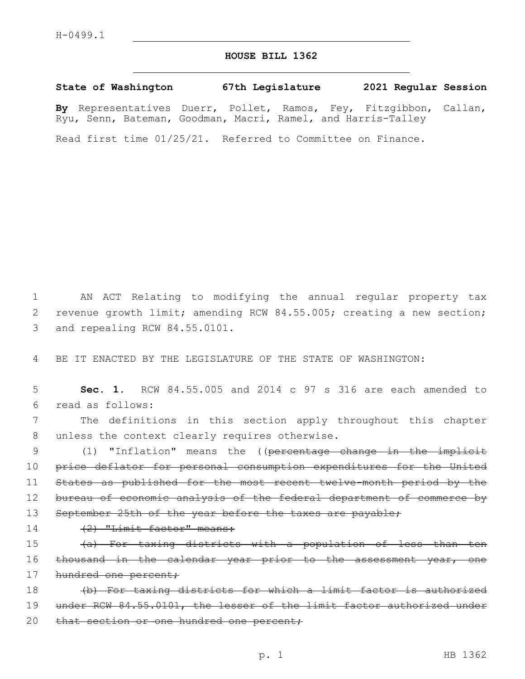## **HOUSE BILL 1362**

**State of Washington 67th Legislature 2021 Regular Session By** Representatives Duerr, Pollet, Ramos, Fey, Fitzgibbon, Callan, Ryu, Senn, Bateman, Goodman, Macri, Ramel, and Harris-Talley

Read first time 01/25/21. Referred to Committee on Finance.

1 AN ACT Relating to modifying the annual regular property tax 2 revenue growth limit; amending RCW 84.55.005; creating a new section; 3 and repealing RCW 84.55.0101.

4 BE IT ENACTED BY THE LEGISLATURE OF THE STATE OF WASHINGTON:

5 **Sec. 1.** RCW 84.55.005 and 2014 c 97 s 316 are each amended to read as follows:6

7 The definitions in this section apply throughout this chapter 8 unless the context clearly requires otherwise.

9 (1) "Inflation" means the ((percentage change in the implicit 10 price deflator for personal consumption expenditures for the United 11 States as published for the most recent twelve-month period by the 12 bureau of economic analysis of the federal department of commerce by 13 September 25th of the year before the taxes are payable;

14 (2) "Limit factor" means:

15 (a) For taxing districts with a population of less than ten 16 thousand in the calendar year prior to the assessment year, one 17 hundred one percent;

18 (b) For taxing districts for which a limit factor is authorized 19 under RCW 84.55.0101, the lesser of the limit factor authorized under 20 that section or one hundred one percent;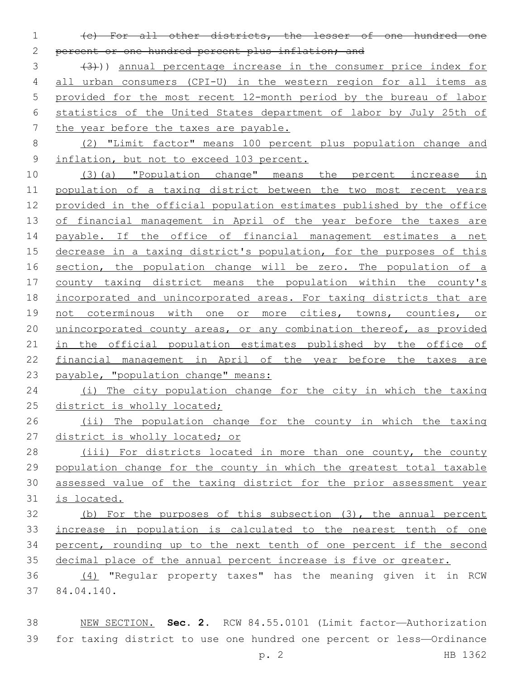(c) For all other districts, the lesser of one hundred one 2 percent or one hundred percent plus inflation; and

 (3))) annual percentage increase in the consumer price index for all urban consumers (CPI-U) in the western region for all items as provided for the most recent 12-month period by the bureau of labor statistics of the United States department of labor by July 25th of the year before the taxes are payable.

 (2) "Limit factor" means 100 percent plus population change and 9 inflation, but not to exceed 103 percent.

 (3)(a) "Population change" means the percent increase in 11 population of a taxing district between the two most recent years provided in the official population estimates published by the office 13 of financial management in April of the year before the taxes are payable. If the office of financial management estimates a net 15 decrease in a taxing district's population, for the purposes of this 16 section, the population change will be zero. The population of a county taxing district means the population within the county's incorporated and unincorporated areas. For taxing districts that are 19 not coterminous with one or more cities, towns, counties, or 20 unincorporated county areas, or any combination thereof, as provided 21 in the official population estimates published by the office of financial management in April of the year before the taxes are payable, "population change" means:

24 (i) The city population change for the city in which the taxing 25 district is wholly located;

26 (ii) The population change for the county in which the taxing district is wholly located; or

 (iii) For districts located in more than one county, the county population change for the county in which the greatest total taxable assessed value of the taxing district for the prior assessment year is located.

 (b) For the purposes of this subsection (3), the annual percent increase in population is calculated to the nearest tenth of one percent, rounding up to the next tenth of one percent if the second decimal place of the annual percent increase is five or greater.

 (4) "Regular property taxes" has the meaning given it in RCW 84.04.140.37

 NEW SECTION. **Sec. 2.** RCW 84.55.0101 (Limit factor—Authorization for taxing district to use one hundred one percent or less—Ordinance